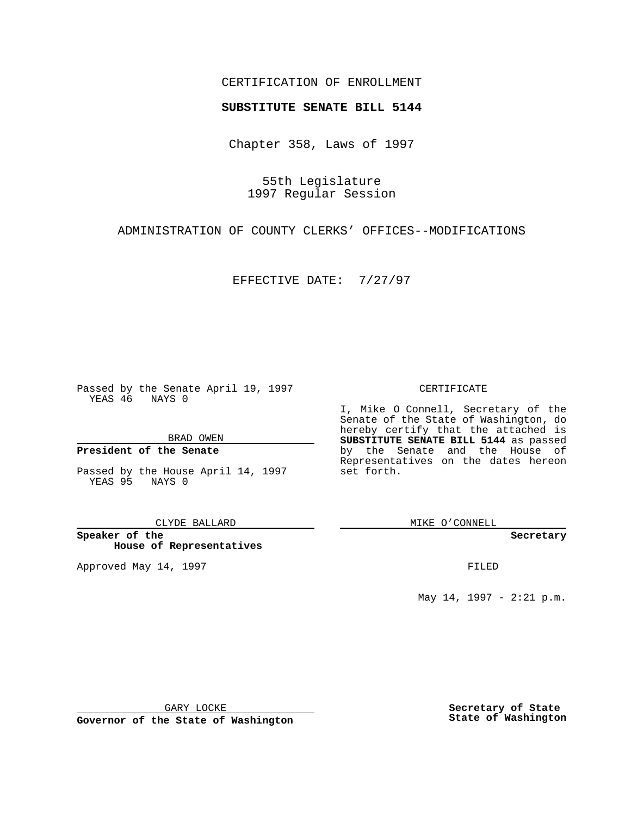## CERTIFICATION OF ENROLLMENT

# **SUBSTITUTE SENATE BILL 5144**

Chapter 358, Laws of 1997

55th Legislature 1997 Regular Session

ADMINISTRATION OF COUNTY CLERKS' OFFICES--MODIFICATIONS

EFFECTIVE DATE: 7/27/97

Passed by the Senate April 19, 1997 YEAS 46 NAYS 0

BRAD OWEN

### **President of the Senate**

Passed by the House April 14, 1997 YEAS 95 NAYS 0

CLYDE BALLARD

**Speaker of the House of Representatives**

Approved May 14, 1997 **FILED** 

#### CERTIFICATE

I, Mike O Connell, Secretary of the Senate of the State of Washington, do hereby certify that the attached is **SUBSTITUTE SENATE BILL 5144** as passed by the Senate and the House of Representatives on the dates hereon set forth.

MIKE O'CONNELL

#### **Secretary**

May 14, 1997 - 2:21 p.m.

GARY LOCKE

**Governor of the State of Washington**

**Secretary of State State of Washington**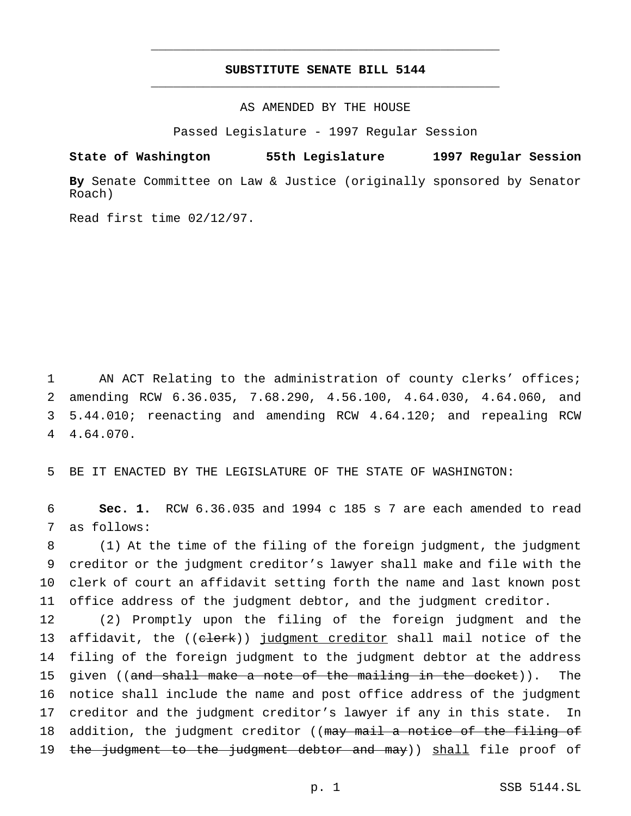# **SUBSTITUTE SENATE BILL 5144** \_\_\_\_\_\_\_\_\_\_\_\_\_\_\_\_\_\_\_\_\_\_\_\_\_\_\_\_\_\_\_\_\_\_\_\_\_\_\_\_\_\_\_\_\_\_\_

\_\_\_\_\_\_\_\_\_\_\_\_\_\_\_\_\_\_\_\_\_\_\_\_\_\_\_\_\_\_\_\_\_\_\_\_\_\_\_\_\_\_\_\_\_\_\_

AS AMENDED BY THE HOUSE

Passed Legislature - 1997 Regular Session

**State of Washington 55th Legislature 1997 Regular Session**

**By** Senate Committee on Law & Justice (originally sponsored by Senator Roach)

Read first time 02/12/97.

 AN ACT Relating to the administration of county clerks' offices; amending RCW 6.36.035, 7.68.290, 4.56.100, 4.64.030, 4.64.060, and 5.44.010; reenacting and amending RCW 4.64.120; and repealing RCW 4.64.070.

5 BE IT ENACTED BY THE LEGISLATURE OF THE STATE OF WASHINGTON:

6 **Sec. 1.** RCW 6.36.035 and 1994 c 185 s 7 are each amended to read 7 as follows:

 (1) At the time of the filing of the foreign judgment, the judgment creditor or the judgment creditor's lawyer shall make and file with the clerk of court an affidavit setting forth the name and last known post office address of the judgment debtor, and the judgment creditor.

12 (2) Promptly upon the filing of the foreign judgment and the 13 affidavit, the ((clerk)) judgment creditor shall mail notice of the 14 filing of the foreign judgment to the judgment debtor at the address 15 given ((and shall make a note of the mailing in the docket)). The 16 notice shall include the name and post office address of the judgment 17 creditor and the judgment creditor's lawyer if any in this state. In 18 addition, the judgment creditor ((may mail a notice of the filing of 19 the judgment to the judgment debtor and may)) shall file proof of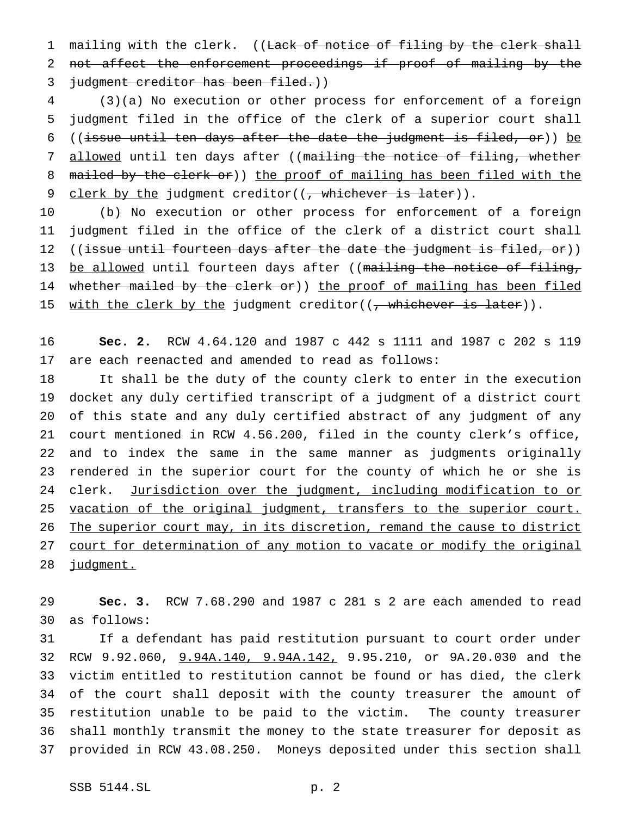1 mailing with the clerk. ((Lack of notice of filing by the clerk shall not affect the enforcement proceedings if proof of mailing by the 3 judgment creditor has been filed.))

 (3)(a) No execution or other process for enforcement of a foreign judgment filed in the office of the clerk of a superior court shall ((issue until ten days after the date the judgment is filed, or)) be 7 allowed until ten days after ((mailing the notice of filing, whether 8 mailed by the clerk or)) the proof of mailing has been filed with the 9 clerk by the judgment creditor( $(\frac{\pi}{2})$  whichever is later)).

 (b) No execution or other process for enforcement of a foreign judgment filed in the office of the clerk of a district court shall 12 ((issue until fourteen days after the date the judgment is filed, or)) 13 be allowed until fourteen days after ((mailing the notice of filing, 14 whether mailed by the clerk or)) the proof of mailing has been filed 15 with the clerk by the judgment creditor( $(\frac{1}{2}$  whichever is later)).

 **Sec. 2.** RCW 4.64.120 and 1987 c 442 s 1111 and 1987 c 202 s 119 are each reenacted and amended to read as follows:

 It shall be the duty of the county clerk to enter in the execution docket any duly certified transcript of a judgment of a district court of this state and any duly certified abstract of any judgment of any court mentioned in RCW 4.56.200, filed in the county clerk's office, and to index the same in the same manner as judgments originally rendered in the superior court for the county of which he or she is 24 clerk. Jurisdiction over the judgment, including modification to or 25 vacation of the original judgment, transfers to the superior court. The superior court may, in its discretion, remand the cause to district 27 court for determination of any motion to vacate or modify the original 28 judgment.

 **Sec. 3.** RCW 7.68.290 and 1987 c 281 s 2 are each amended to read as follows:

 If a defendant has paid restitution pursuant to court order under RCW 9.92.060, 9.94A.140, 9.94A.142, 9.95.210, or 9A.20.030 and the victim entitled to restitution cannot be found or has died, the clerk of the court shall deposit with the county treasurer the amount of restitution unable to be paid to the victim. The county treasurer shall monthly transmit the money to the state treasurer for deposit as provided in RCW 43.08.250. Moneys deposited under this section shall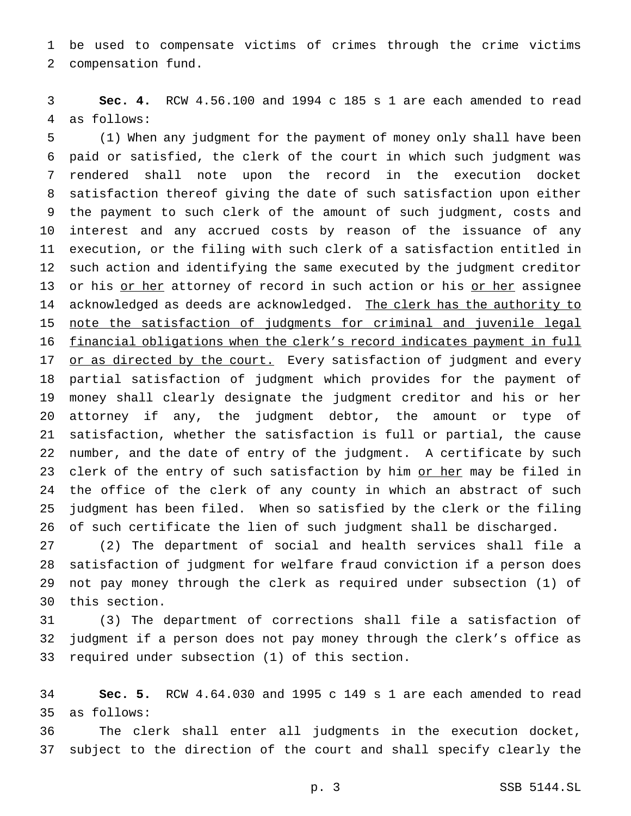be used to compensate victims of crimes through the crime victims compensation fund.

 **Sec. 4.** RCW 4.56.100 and 1994 c 185 s 1 are each amended to read as follows:

 (1) When any judgment for the payment of money only shall have been paid or satisfied, the clerk of the court in which such judgment was rendered shall note upon the record in the execution docket satisfaction thereof giving the date of such satisfaction upon either the payment to such clerk of the amount of such judgment, costs and interest and any accrued costs by reason of the issuance of any execution, or the filing with such clerk of a satisfaction entitled in such action and identifying the same executed by the judgment creditor 13 or his or her attorney of record in such action or his or her assignee 14 acknowledged as deeds are acknowledged. The clerk has the authority to note the satisfaction of judgments for criminal and juvenile legal financial obligations when the clerk's record indicates payment in full 17 or as directed by the court. Every satisfaction of judgment and every partial satisfaction of judgment which provides for the payment of money shall clearly designate the judgment creditor and his or her attorney if any, the judgment debtor, the amount or type of satisfaction, whether the satisfaction is full or partial, the cause number, and the date of entry of the judgment. A certificate by such 23 clerk of the entry of such satisfaction by him or her may be filed in 24 the office of the clerk of any county in which an abstract of such judgment has been filed. When so satisfied by the clerk or the filing of such certificate the lien of such judgment shall be discharged.

 (2) The department of social and health services shall file a satisfaction of judgment for welfare fraud conviction if a person does not pay money through the clerk as required under subsection (1) of this section.

 (3) The department of corrections shall file a satisfaction of judgment if a person does not pay money through the clerk's office as required under subsection (1) of this section.

 **Sec. 5.** RCW 4.64.030 and 1995 c 149 s 1 are each amended to read as follows:

 The clerk shall enter all judgments in the execution docket, subject to the direction of the court and shall specify clearly the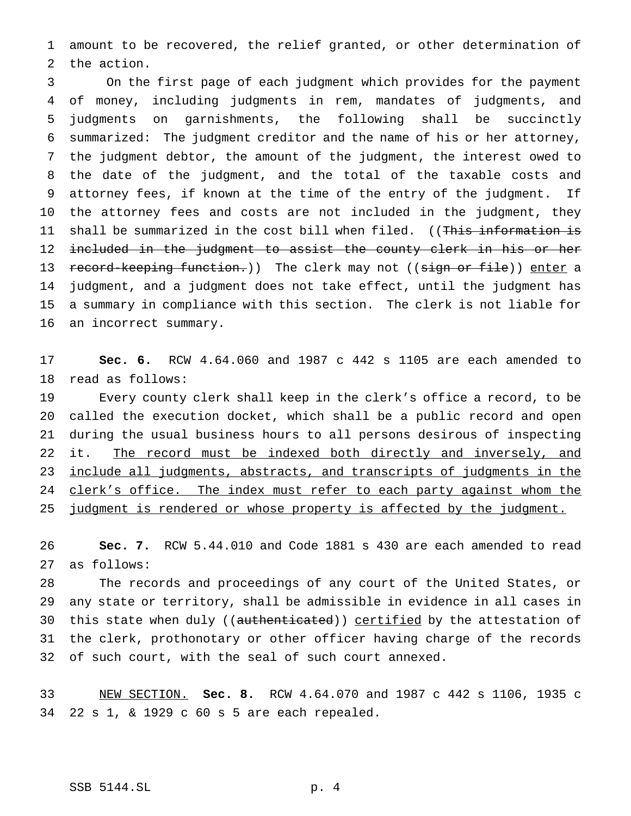amount to be recovered, the relief granted, or other determination of the action.

 On the first page of each judgment which provides for the payment of money, including judgments in rem, mandates of judgments, and judgments on garnishments, the following shall be succinctly summarized: The judgment creditor and the name of his or her attorney, the judgment debtor, the amount of the judgment, the interest owed to the date of the judgment, and the total of the taxable costs and attorney fees, if known at the time of the entry of the judgment. If the attorney fees and costs are not included in the judgment, they 11 shall be summarized in the cost bill when filed. ((This information is 12 included in the judgment to assist the county clerk in his or her 13 record-keeping function.)) The clerk may not ((sign or file)) enter a judgment, and a judgment does not take effect, until the judgment has a summary in compliance with this section. The clerk is not liable for an incorrect summary.

 **Sec. 6.** RCW 4.64.060 and 1987 c 442 s 1105 are each amended to read as follows:

 Every county clerk shall keep in the clerk's office a record, to be called the execution docket, which shall be a public record and open during the usual business hours to all persons desirous of inspecting it. The record must be indexed both directly and inversely, and include all judgments, abstracts, and transcripts of judgments in the 24 clerk's office. The index must refer to each party against whom the 25 judgment is rendered or whose property is affected by the judgment.

 **Sec. 7.** RCW 5.44.010 and Code 1881 s 430 are each amended to read as follows:

 The records and proceedings of any court of the United States, or any state or territory, shall be admissible in evidence in all cases in 30 this state when duly ((authenticated)) certified by the attestation of the clerk, prothonotary or other officer having charge of the records of such court, with the seal of such court annexed.

 NEW SECTION. **Sec. 8.** RCW 4.64.070 and 1987 c 442 s 1106, 1935 c 22 s 1, & 1929 c 60 s 5 are each repealed.